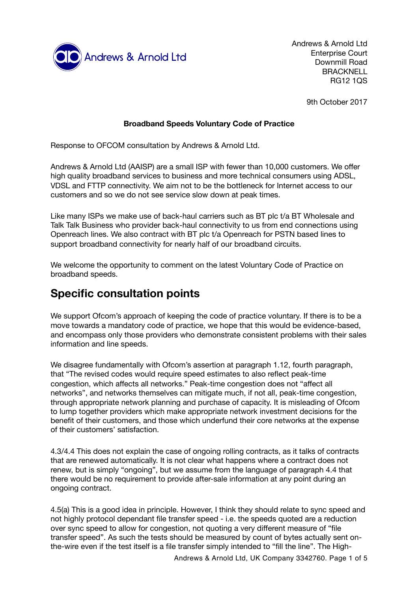

Andrews & Arnold Ltd Enterprise Court Downmill Road BRACKNELL RG12 1QS

9th October 2017

#### **Broadband Speeds Voluntary Code of Practice**

Response to OFCOM consultation by Andrews & Arnold Ltd.

Andrews & Arnold Ltd (AAISP) are a small ISP with fewer than 10,000 customers. We offer high quality broadband services to business and more technical consumers using ADSL, VDSL and FTTP connectivity. We aim not to be the bottleneck for Internet access to our customers and so we do not see service slow down at peak times.

Like many ISPs we make use of back-haul carriers such as BT plc t/a BT Wholesale and Talk Talk Business who provider back-haul connectivity to us from end connections using Openreach lines. We also contract with BT plc t/a Openreach for PSTN based lines to support broadband connectivity for nearly half of our broadband circuits.

We welcome the opportunity to comment on the latest Voluntary Code of Practice on broadband speeds.

# **Specific consultation points**

We support Ofcom's approach of keeping the code of practice voluntary. If there is to be a move towards a mandatory code of practice, we hope that this would be evidence-based, and encompass only those providers who demonstrate consistent problems with their sales information and line speeds.

We disagree fundamentally with Ofcom's assertion at paragraph 1.12, fourth paragraph, that "The revised codes would require speed estimates to also reflect peak-time congestion, which affects all networks." Peak-time congestion does not "affect all networks", and networks themselves can mitigate much, if not all, peak-time congestion, through appropriate network planning and purchase of capacity. It is misleading of Ofcom to lump together providers which make appropriate network investment decisions for the benefit of their customers, and those which underfund their core networks at the expense of their customers' satisfaction.

4.3/4.4 This does not explain the case of ongoing rolling contracts, as it talks of contracts that are renewed automatically. It is not clear what happens where a contract does not renew, but is simply "ongoing", but we assume from the language of paragraph 4.4 that there would be no requirement to provide after-sale information at any point during an ongoing contract.

4.5(a) This is a good idea in principle. However, I think they should relate to sync speed and not highly protocol dependant file transfer speed - i.e. the speeds quoted are a reduction over sync speed to allow for congestion, not quoting a very different measure of "file transfer speed". As such the tests should be measured by count of bytes actually sent onthe-wire even if the test itself is a file transfer simply intended to "fill the line". The High-

Andrews & Arnold Ltd, UK Company 3342760. Page 1 of 5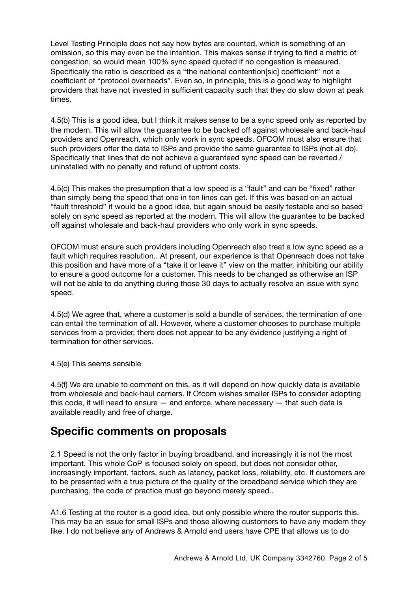Level Testing Principle does not say how bytes are counted, which is something of an omission, so this may even be the intention. This makes sense if trying to find a metric of congestion, so would mean 100% sync speed quoted if no congestion is measured. Specifically the ratio is described as a "the national contention[sic] coefficient" not a coefficient of "protocol overheads". Even so, in principle, this is a good way to highlight providers that have not invested in sufficient capacity such that they do slow down at peak times.

4.5(b) This is a good idea, but I think it makes sense to be a sync speed only as reported by the modem. This will allow the guarantee to be backed off against wholesale and back-haul providers and Openreach, which only work in sync speeds. OFCOM must also ensure that such providers offer the data to ISPs and provide the same guarantee to ISPs (not all do). Specifically that lines that do not achieve a guaranteed sync speed can be reverted / uninstalled with no penalty and refund of upfront costs.

4.5(c) This makes the presumption that a low speed is a "fault" and can be "fixed" rather than simply being the speed that one in ten lines can get. If this was based on an actual "fault threshold" it would be a good idea, but again should be easily testable and so based solely on sync speed as reported at the modem. This will allow the guarantee to be backed off against wholesale and back-haul providers who only work in sync speeds.

OFCOM must ensure such providers including Openreach also treat a low sync speed as a fault which requires resolution.. At present, our experience is that Openreach does not take this position and have more of a "take it or leave it" view on the matter, inhibiting our ability to ensure a good outcome for a customer. This needs to be changed as otherwise an ISP will not be able to do anything during those 30 days to actually resolve an issue with sync speed.

4.5(d) We agree that, where a customer is sold a bundle of services, the termination of one can entail the termination of all. However, where a customer chooses to purchase multiple services from a provider, there does not appear to be any evidence justifying a right of termination for other services.

4.5(e) This seems sensible

4.5(f) We are unable to comment on this, as it will depend on how quickly data is available from wholesale and back-haul carriers. If Ofcom wishes smaller ISPs to consider adopting this code, it will need to ensure — and enforce, where necessary — that such data is available readily and free of charge.

## **Specific comments on proposals**

2.1 Speed is not the only factor in buying broadband, and increasingly it is not the most important. This whole CoP is focused solely on speed, but does not consider other, increasingly important, factors, such as latency, packet loss, reliability, etc. If customers are to be presented with a true picture of the quality of the broadband service which they are purchasing, the code of practice must go beyond merely speed..

A1.6 Testing at the router is a good idea, but only possible where the router supports this. This may be an issue for small ISPs and those allowing customers to have any modem they like. I do not believe any of Andrews & Arnold end users have CPE that allows us to do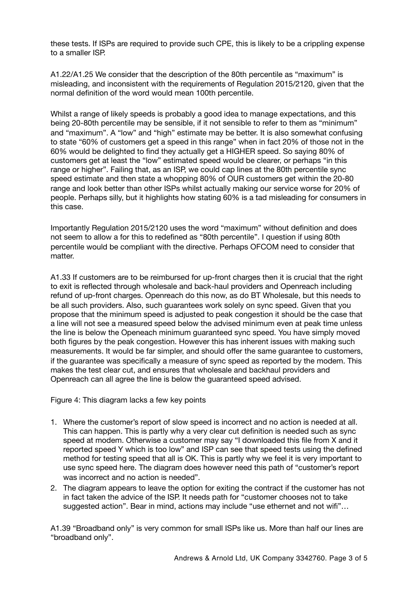these tests. If ISPs are required to provide such CPE, this is likely to be a crippling expense to a smaller ISP.

A1.22/A1.25 We consider that the description of the 80th percentile as "maximum" is misleading, and inconsistent with the requirements of Regulation 2015/2120, given that the normal definition of the word would mean 100th percentile.

Whilst a range of likely speeds is probably a good idea to manage expectations, and this being 20-80th percentile may be sensible, if it not sensible to refer to them as "minimum" and "maximum". A "low" and "high" estimate may be better. It is also somewhat confusing to state "60% of customers get a speed in this range" when in fact 20% of those not in the 60% would be delighted to find they actually get a HIGHER speed. So saying 80% of customers get at least the "low" estimated speed would be clearer, or perhaps "in this range or higher". Failing that, as an ISP, we could cap lines at the 80th percentile sync speed estimate and then state a whopping 80% of OUR customers get within the 20-80 range and look better than other ISPs whilst actually making our service worse for 20% of people. Perhaps silly, but it highlights how stating 60% is a tad misleading for consumers in this case.

Importantly Regulation 2015/2120 uses the word "maximum" without definition and does not seem to allow a for this to redefined as "80th percentile". I question if using 80th percentile would be compliant with the directive. Perhaps OFCOM need to consider that matter.

A1.33 If customers are to be reimbursed for up-front charges then it is crucial that the right to exit is reflected through wholesale and back-haul providers and Openreach including refund of up-front charges. Openreach do this now, as do BT Wholesale, but this needs to be all such providers. Also, such guarantees work solely on sync speed. Given that you propose that the minimum speed is adjusted to peak congestion it should be the case that a line will not see a measured speed below the advised minimum even at peak time unless the line is below the Openeach minimum guaranteed sync speed. You have simply moved both figures by the peak congestion. However this has inherent issues with making such measurements. It would be far simpler, and should offer the same guarantee to customers, if the guarantee was specifically a measure of sync speed as reported by the modem. This makes the test clear cut, and ensures that wholesale and backhaul providers and Openreach can all agree the line is below the guaranteed speed advised.

Figure 4: This diagram lacks a few key points

- 1. Where the customer's report of slow speed is incorrect and no action is needed at all. This can happen. This is partly why a very clear cut definition is needed such as sync speed at modem. Otherwise a customer may say "I downloaded this file from X and it reported speed Y which is too low" and ISP can see that speed tests using the defined method for testing speed that all is OK. This is partly why we feel it is very important to use sync speed here. The diagram does however need this path of "customer's report was incorrect and no action is needed".
- 2. The diagram appears to leave the option for exiting the contract if the customer has not in fact taken the advice of the ISP. It needs path for "customer chooses not to take suggested action". Bear in mind, actions may include "use ethernet and not wifi"…

A1.39 "Broadband only" is very common for small ISPs like us. More than half our lines are "broadband only".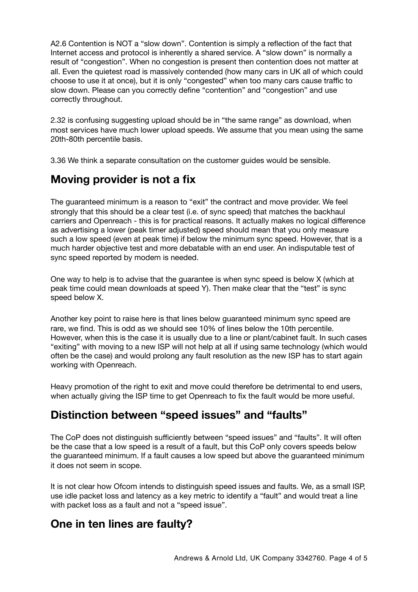A2.6 Contention is NOT a "slow down". Contention is simply a reflection of the fact that Internet access and protocol is inherently a shared service. A "slow down" is normally a result of "congestion". When no congestion is present then contention does not matter at all. Even the quietest road is massively contended (how many cars in UK all of which could choose to use it at once), but it is only "congested" when too many cars cause traffic to slow down. Please can you correctly define "contention" and "congestion" and use correctly throughout.

2.32 is confusing suggesting upload should be in "the same range" as download, when most services have much lower upload speeds. We assume that you mean using the same 20th-80th percentile basis.

3.36 We think a separate consultation on the customer guides would be sensible.

# **Moving provider is not a fix**

The guaranteed minimum is a reason to "exit" the contract and move provider. We feel strongly that this should be a clear test (i.e. of sync speed) that matches the backhaul carriers and Openreach - this is for practical reasons. It actually makes no logical difference as advertising a lower (peak timer adjusted) speed should mean that you only measure such a low speed (even at peak time) if below the minimum sync speed. However, that is a much harder objective test and more debatable with an end user. An indisputable test of sync speed reported by modem is needed.

One way to help is to advise that the guarantee is when sync speed is below X (which at peak time could mean downloads at speed Y). Then make clear that the "test" is sync speed below X.

Another key point to raise here is that lines below guaranteed minimum sync speed are rare, we find. This is odd as we should see 10% of lines below the 10th percentile. However, when this is the case it is usually due to a line or plant/cabinet fault. In such cases "exiting" with moving to a new ISP will not help at all if using same technology (which would often be the case) and would prolong any fault resolution as the new ISP has to start again working with Openreach.

Heavy promotion of the right to exit and move could therefore be detrimental to end users, when actually giving the ISP time to get Openreach to fix the fault would be more useful.

# **Distinction between "speed issues" and "faults"**

The CoP does not distinguish sufficiently between "speed issues" and "faults". It will often be the case that a low speed is a result of a fault, but this CoP only covers speeds below the guaranteed minimum. If a fault causes a low speed but above the guaranteed minimum it does not seem in scope.

It is not clear how Ofcom intends to distinguish speed issues and faults. We, as a small ISP, use idle packet loss and latency as a key metric to identify a "fault" and would treat a line with packet loss as a fault and not a "speed issue".

## **One in ten lines are faulty?**